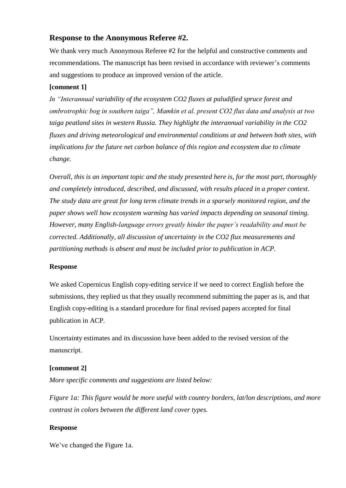# **Response to the Anonymous Referee #2.**

We thank very much Anonymous Referee #2 for the helpful and constructive comments and recommendations. The manuscript has been revised in accordance with reviewer's comments and suggestions to produce an improved version of the article.

## **[comment 1]**

*In "Interannual variability of the ecosystem CO2 fluxes at paludified spruce forest and ombrotrophic bog in southern taiga", Mamkin et al. present CO2 flux data and analysis at two taiga peatland sites in western Russia. They highlight the interannual variability in the CO2 fluxes and driving meteorological and environmental conditions at and between both sites, with implications for the future net carbon balance of this region and ecosystem due to climate change.*

*Overall, this is an important topic and the study presented here is, for the most part, thoroughly and completely introduced, described, and discussed, with results placed in a proper context. The study data are great for long term climate trends in a sparsely monitored region, and the paper shows well how ecosystem warming has varied impacts depending on seasonal timing. However, many English-language errors greatly hinder the paper's readability and must be corrected. Additionally, all discussion of uncertainty in the CO2 flux measurements and partitioning methods is absent and must be included prior to publication in ACP.*

## **Response**

We asked Copernicus English copy-editing service if we need to correct English before the submissions, they replied us that they usually recommend submitting the paper as is, and that English copy-editing is a standard procedure for final revised papers accepted for final publication in ACP.

Uncertainty estimates and its discussion have been added to the revised version of the manuscript.

## **[comment 2]**

*More specific comments and suggestions are listed below:*

*Figure 1a: This figure would be more useful with country borders, lat/lon descriptions, and more contrast in colors between the different land cover types.*

## **Response**

We've changed the Figure 1a.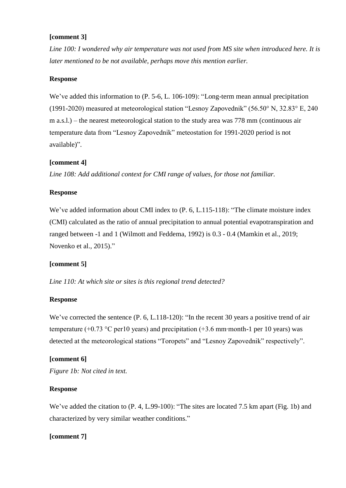## **[comment 3]**

*Line 100: I wondered why air temperature was not used from MS site when introduced here. It is later mentioned to be not available, perhaps move this mention earlier.*

#### **Response**

We've added this information to (P. 5-6, L. 106-109): "Long-term mean annual precipitation (1991-2020) measured at meteorological station "Lesnoy Zapovednik" (56.50° N, 32.83° E, 240 m a.s.l.) – the nearest meteorological station to the study area was 778 mm (continuous air temperature data from "Lesnoy Zapovednik" meteostation for 1991-2020 period is not available)".

#### **[comment 4]**

*Line 108: Add additional context for CMI range of values, for those not familiar.*

#### **Response**

We've added information about CMI index to  $(P. 6, L.115-118)$ : "The climate moisture index (CMI) calculated as the ratio of annual precipitation to annual potential evapotranspiration and ranged between -1 and 1 (Wilmott and Feddema, 1992) is 0.3 - 0.4 (Mamkin et al., 2019; Novenko et al., 2015)."

## **[comment 5]**

*Line 110: At which site or sites is this regional trend detected?*

#### **Response**

We've corrected the sentence (P. 6, L.118-120): "In the recent 30 years a positive trend of air temperature (+0.73 °C per10 years) and precipitation (+3.6 mm∙month-1 per 10 years) was detected at the meteorological stations "Toropets" and "Lesnoy Zapovednik" respectively".

## **[comment 6]**

*Figure 1b: Not cited in text.*

#### **Response**

We've added the citation to  $(P. 4, L.99-100)$ : "The sites are located 7.5 km apart (Fig. 1b) and characterized by very similar weather conditions."

## **[comment 7]**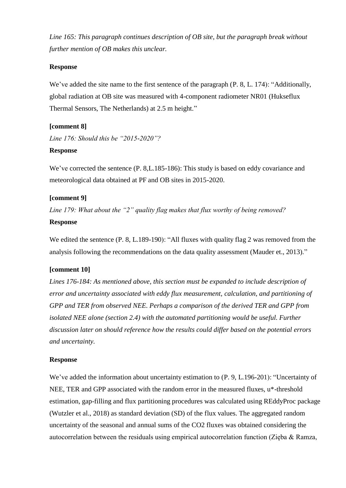*Line 165: This paragraph continues description of OB site, but the paragraph break without further mention of OB makes this unclear.*

## **Response**

We've added the site name to the first sentence of the paragraph  $(P. 8, L. 174)$ : "Additionally, global radiation at OB site was measured with 4-component radiometer NR01 (Hukseflux Thermal Sensors, The Netherlands) at 2.5 m height."

# **[comment 8]**

*Line 176: Should this be "2015-2020"?*

## **Response**

We've corrected the sentence (P. 8,L.185-186): This study is based on eddy covariance and meteorological data obtained at PF and OB sites in 2015-2020.

## **[comment 9]**

*Line 179: What about the "2" quality flag makes that flux worthy of being removed?*

## **Response**

We edited the sentence (P. 8, L.189-190): "All fluxes with quality flag 2 was removed from the analysis following the recommendations on the data quality assessment (Mauder et., 2013)."

# **[comment 10]**

*Lines 176-184: As mentioned above, this section must be expanded to include description of error and uncertainty associated with eddy flux measurement, calculation, and partitioning of GPP and TER from observed NEE. Perhaps a comparison of the derived TER and GPP from isolated NEE alone (section 2.4) with the automated partitioning would be useful. Further discussion later on should reference how the results could differ based on the potential errors and uncertainty.*

## **Response**

We've added the information about uncertainty estimation to (P. 9, L.196-201): "Uncertainty of NEE, TER and GPP associated with the random error in the measured fluxes, u\*-threshold estimation, gap-filling and flux partitioning procedures was calculated using REddyProc package (Wutzler et al., 2018) as standard deviation (SD) of the flux values. The aggregated random uncertainty of the seasonal and annual sums of the CO2 fluxes was obtained considering the autocorrelation between the residuals using empirical autocorrelation function (Zięba & Ramza,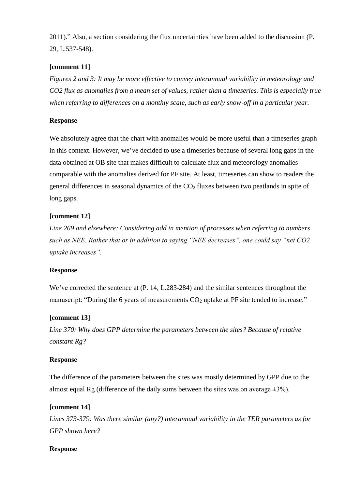2011)." Also, a section considering the flux uncertainties have been added to the discussion (P. 29, L.537-548).

# **[comment 11]**

*Figures 2 and 3: It may be more effective to convey interannual variability in meteorology and CO2 flux as anomalies from a mean set of values, rather than a timeseries. This is especially true when referring to differences on a monthly scale, such as early snow-off in a particular year.*

## **Response**

We absolutely agree that the chart with anomalies would be more useful than a timeseries graph in this context. However, we've decided to use a timeseries because of several long gaps in the data obtained at OB site that makes difficult to calculate flux and meteorology anomalies comparable with the anomalies derived for PF site. At least, timeseries can show to readers the general differences in seasonal dynamics of the  $CO<sub>2</sub>$  fluxes between two peatlands in spite of long gaps.

# **[comment 12]**

*Line 269 and elsewhere: Considering add in mention of processes when referring to numbers such as NEE. Rather that or in addition to saying "NEE decreases", one could say "net CO2 uptake increases".*

## **Response**

We've corrected the sentence at (P. 14, L.283-284) and the similar sentences throughout the manuscript: "During the 6 years of measurements  $CO<sub>2</sub>$  uptake at PF site tended to increase."

## **[comment 13]**

*Line 370: Why does GPP determine the parameters between the sites? Because of relative constant Rg?*

## **Response**

The difference of the parameters between the sites was mostly determined by GPP due to the almost equal Rg (difference of the daily sums between the sites was on average  $\pm 3\%$ ).

# **[comment 14]**

*Lines 373-379: Was there similar (any?) interannual variability in the TER parameters as for GPP shown here?*

## **Response**